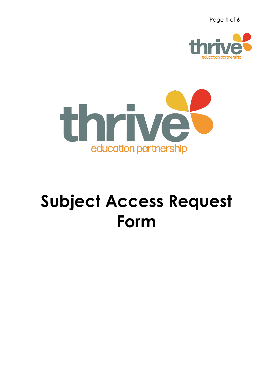Page **1** of **6**





# **Subject Access Request Form**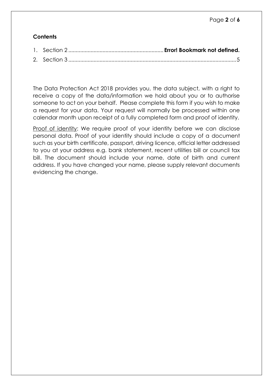# **Contents**

The Data Protection Act 2018 provides you, the data subject, with a right to receive a copy of the data/information we hold about you or to authorise someone to act on your behalf. Please complete this form if you wish to make a request for your data. Your request will normally be processed within one calendar month upon receipt of a fully completed form and proof of identity.

Proof of identity: We require proof of your identity before we can disclose personal data. Proof of your identity should include a copy of a document such as your birth certificate, passport, driving licence, official letter addressed to you at your address e.g. bank statement, recent utilities bill or council tax bill. The document should include your name, date of birth and current address. If you have changed your name, please supply relevant documents evidencing the change.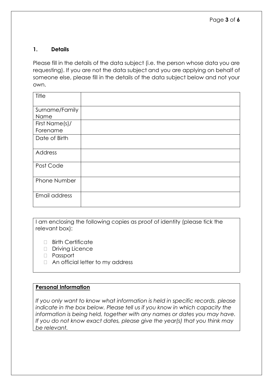### **1. Details**

Please fill in the details of the data subject (i.e. the person whose data you are requesting). If you are not the data subject and you are applying on behalf of someone else, please fill in the details of the data subject below and not your own.

| Title          |  |
|----------------|--|
| Surname/Family |  |
| Name           |  |
| First Name(s)/ |  |
| Forename       |  |
| Date of Birth  |  |
|                |  |
| Address        |  |
| Post Code      |  |
|                |  |
| Phone Number   |  |
|                |  |
| Email address  |  |
|                |  |

I am enclosing the following copies as proof of identity (please tick the relevant box):

- $\Box$  Birth Certificate
- Driving Licence
- Passport
- □ An official letter to my address

#### **Personal Information**

*If you only want to know what information is held in specific records. please indicate in the box below. Please tell us if you know in which capacity the information is being held, together with any names or dates you may have. If you do not know exact dates, please give the year(s) that you think may be relevant.*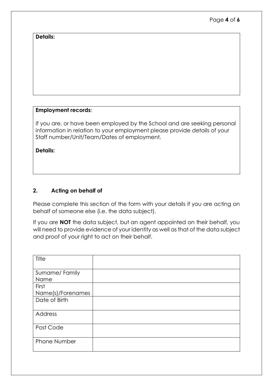#### **Details:**

### **Employment records**:

If you are, or have been employed by the School and are seeking personal information in relation to your employment please provide details of your Staff number/Unit/Team/Dates of employment.

**Details:**

## **2. Acting on behalf of**

Please complete this section of the form with your details if you are acting on behalf of someone else (i.e. the data subject).

If you are **NOT** the data subject, but an agent appointed on their behalf, you will need to provide evidence of your identity as well as that of the data subject and proof of your right to act on their behalf.

| Title               |  |
|---------------------|--|
|                     |  |
| Surname/Family      |  |
| Name                |  |
| First               |  |
| Name(s)/Forenames   |  |
| Date of Birth       |  |
|                     |  |
| Address             |  |
| Post Code           |  |
|                     |  |
| <b>Phone Number</b> |  |
|                     |  |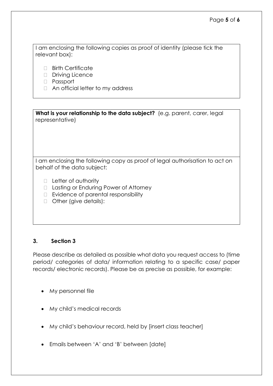I am enclosing the following copies as proof of identity (please tick the relevant box):

- □ Birth Certificate
- Driving Licence
- Passport
- □ An official letter to my address

**What is your relationship to the data subject?** (e.g. parent, carer, legal representative)

I am enclosing the following copy as proof of legal authorisation to act on behalf of the data subject:

- □ Letter of authority
- □ Lasting or Enduring Power of Attorney
- $\Box$  Evidence of parental responsibility
- □ Other (give details):

#### <span id="page-4-0"></span>**3. Section 3**

Please describe as detailed as possible what data you request access to (time period/ categories of data/ information relating to a specific case/ paper records/ electronic records). Please be as precise as possible, for example:

- My personnel file
- My child's medical records
- My child's behaviour record, held by [insert class teacher]
- Emails between 'A' and 'B' between [date]